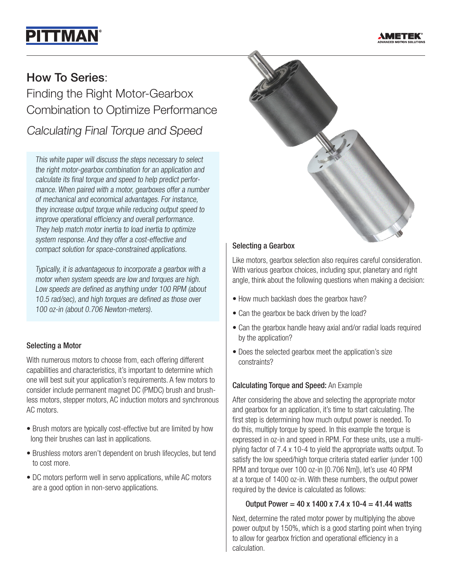# **PITTMAN**



# How To Series:

Finding the Right Motor-Gearbox Combination to Optimize Performance

Calculating Final Torque and Speed

This white paper will discuss the steps necessary to select the right motor-gearbox combination for an application and calculate its final torque and speed to help predict performance. When paired with a motor, gearboxes offer a number of mechanical and economical advantages. For instance, they increase output torque while reducing output speed to improve operational efficiency and overall performance. They help match motor inertia to load inertia to optimize system response. And they offer a cost-effective and compact solution for space-constrained applications.

Typically, it is advantageous to incorporate a gearbox with a motor when system speeds are low and torques are high. Low speeds are defined as anything under 100 RPM (about 10.5 rad/sec), and high torques are defined as those over 100 oz-in (about 0.706 Newton-meters).

# Selecting a Motor

With numerous motors to choose from, each offering different capabilities and characteristics, it's important to determine which one will best suit your application's requirements. A few motors to consider include permanent magnet DC (PMDC) brush and brushless motors, stepper motors, AC induction motors and synchronous AC motors.

- Brush motors are typically cost-effective but are limited by how long their brushes can last in applications.
- Brushless motors aren't dependent on brush lifecycles, but tend to cost more.
- DC motors perform well in servo applications, while AC motors are a good option in non-servo applications.



# Selecting a Gearbox

Like motors, gearbox selection also requires careful consideration. With various gearbox choices, including spur, planetary and right angle, think about the following questions when making a decision:

- How much backlash does the gearbox have?
- Can the gearbox be back driven by the load?
- Can the gearbox handle heavy axial and/or radial loads required by the application?
- Does the selected gearbox meet the application's size constraints?

# Calculating Torque and Speed: An Example

After considering the above and selecting the appropriate motor and gearbox for an application, it's time to start calculating. The first step is determining how much output power is needed. To do this, multiply torque by speed. In this example the torque is expressed in oz-in and speed in RPM. For these units, use a multiplying factor of 7.4 x 10-4 to yield the appropriate watts output. To satisfy the low speed/high torque criteria stated earlier (under 100 RPM and torque over 100 oz-in [0.706 Nm]), let's use 40 RPM at a torque of 1400 oz-in. With these numbers, the output power required by the device is calculated as follows:

# Output Power =  $40 \times 1400 \times 7.4 \times 10^{-4} = 41.44$  watts

Next, determine the rated motor power by multiplying the above power output by 150%, which is a good starting point when trying to allow for gearbox friction and operational efficiency in a calculation.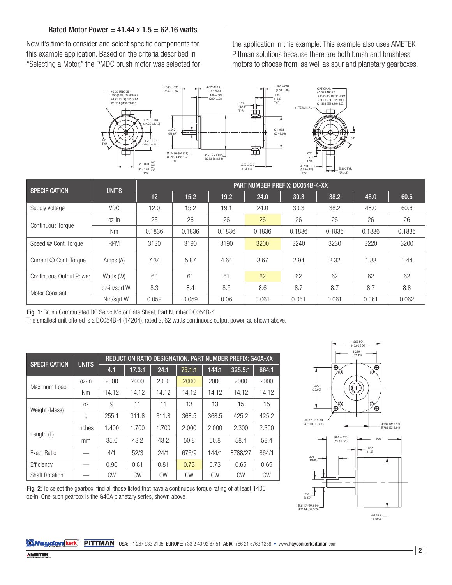#### Rated Motor Power =  $41.44 \times 1.5 = 62.16$  watts

Now it's time to consider and select specific components for this example application. Based on the criteria described in "Selecting a Motor," the PMDC brush motor was selected for the application in this example. This example also uses AMETEK Pittman solutions because there are both brush and brushless motors to choose from, as well as spur and planetary gearboxes.



| <b>SPECIFICATION</b>           | <b>UNITS</b> | <b>PART NUMBER PREFIX: DC054B-4-XX</b> |        |        |        |        |        |        |        |  |
|--------------------------------|--------------|----------------------------------------|--------|--------|--------|--------|--------|--------|--------|--|
|                                |              | 12 <sup>1</sup>                        | 15.2   | 19.2   | 24.0   | 30.3   | 38.2   | 48.0   | 60.6   |  |
| Supply Voltage                 | <b>VDC</b>   | 12.0                                   | 15.2   | 19.1   | 24.0   | 30.3   | 38.2   | 48.0   | 60.6   |  |
| <b>Continuous Torque</b>       | oz-in        | 26                                     | 26     | 26     | 26     | 26     | 26     | 26     | 26     |  |
|                                | <b>Nm</b>    | 0.1836                                 | 0.1836 | 0.1836 | 0.1836 | 0.1836 | 0.1836 | 0.1836 | 0.1836 |  |
| Speed @ Cont. Torque           | <b>RPM</b>   | 3130                                   | 3190   | 3190   | 3200   | 3240   | 3230   | 3220   | 3200   |  |
| Current @ Cont. Torque         | Amps (A)     | 7.34                                   | 5.87   | 4.64   | 3.67   | 2.94   | 2.32   | 1.83   | 1.44   |  |
| <b>Continuous Output Power</b> | Watts (W)    | 60                                     | 61     | 61     | 62     | 62     | 62     | 62     | 62     |  |
| <b>Motor Constant</b>          | oz-in/sgrt W | 8.3                                    | 8.4    | 8.5    | 8.6    | 8.7    | 8.7    | 8.7    | 8.8    |  |
|                                | Nm/sart W    | 0.059                                  | 0.059  | 0.06   | 0.061  | 0.061  | 0.061  | 0.061  | 0.062  |  |

Fig. 1: Brush Commutated DC Servo Motor Data Sheet, Part Number DC054B-4

The smallest unit offered is a DC054B-4 (14204), rated at 62 watts continuous output power, as shown above.

| <b>SPECIFICATION</b>  | <b>UNITS</b> | REDUCTION RATIO DESIGNATION. PART NUMBER PREFIX: G40A-XX |                     |           |           |       |           |           |  |  |
|-----------------------|--------------|----------------------------------------------------------|---------------------|-----------|-----------|-------|-----------|-----------|--|--|
|                       |              | 4.1                                                      | $17.\overline{3:1}$ | 24:1      | 75.1:1    | 144:1 | 325.5:1   | 864:1     |  |  |
| Maximum Load          | oz-in        | 2000                                                     | 2000                | 2000      | 2000      | 2000  | 2000      | 2000      |  |  |
|                       | <b>Nm</b>    | 14.12                                                    | 14.12               | 14.12     | 14.12     | 14.12 | 14.12     | 14.12     |  |  |
| Weight (Mass)         | 0Z           | 9                                                        | 11                  | 11        | 13        | 13    | 15        | 15        |  |  |
|                       | g            | 255.1                                                    | 311.8               | 311.8     | 368.5     | 368.5 | 425.2     | 425.2     |  |  |
| Length $(L)$          | inches       | 1.400                                                    | 1.700               | 1.700     | 2.000     | 2.000 | 2.300     | 2.300     |  |  |
|                       | mm           | 35.6                                                     | 43.2                | 43.2      | 50.8      | 50.8  | 58.4      | 58.4      |  |  |
| Exact Ratio           |              | 4/1                                                      | 52/3                | 24/1      | 676/9     | 144/1 | 8788/27   | 864/1     |  |  |
| Efficiency            |              | 0.90                                                     | 0.81                | 0.81      | 0.73      | 0.73  | 0.65      | 0.65      |  |  |
| <b>Shaft Rotation</b> |              | <b>CW</b>                                                | <b>CW</b>           | <b>CW</b> | <b>CW</b> | CW    | <b>CW</b> | <b>CW</b> |  |  |



Fig. 2: To select the gearbox, find all those listed that have a continuous torque rating of at least 1400 oz-in. One such gearbox is the G40A planetary series, shown above.